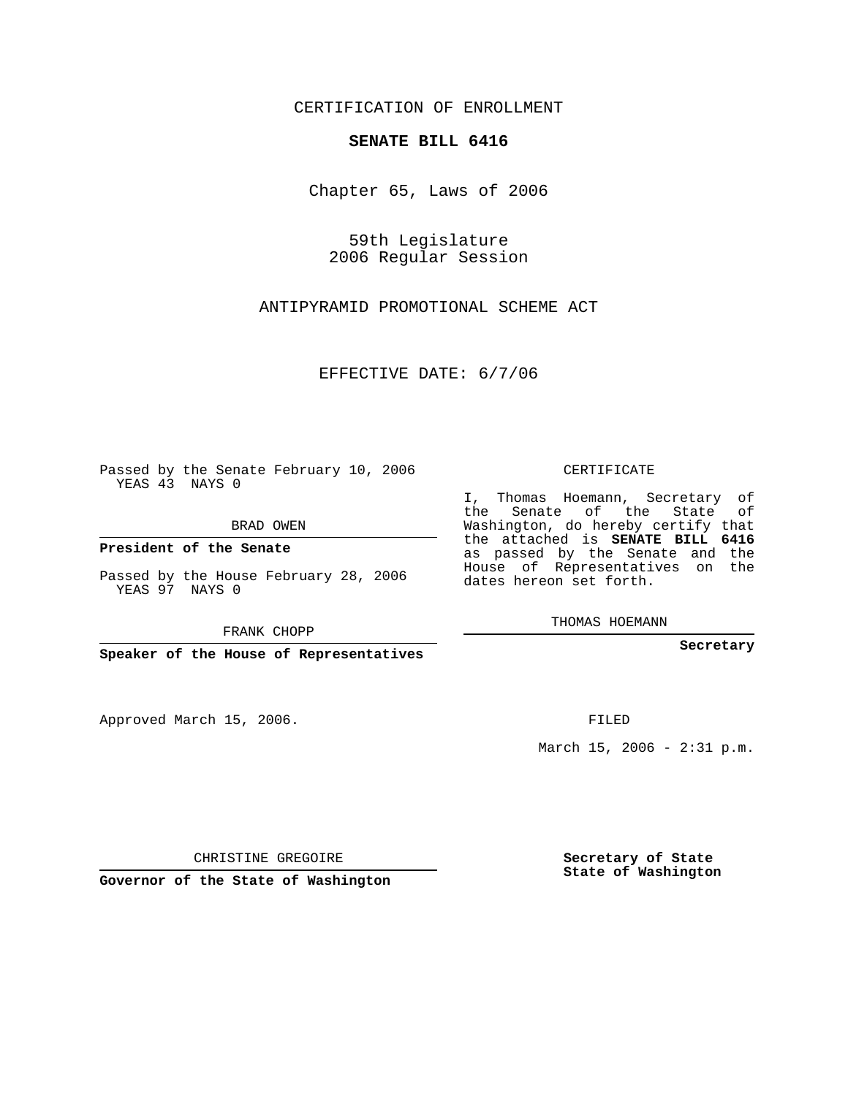CERTIFICATION OF ENROLLMENT

## **SENATE BILL 6416**

Chapter 65, Laws of 2006

59th Legislature 2006 Regular Session

ANTIPYRAMID PROMOTIONAL SCHEME ACT

EFFECTIVE DATE: 6/7/06

Passed by the Senate February 10, 2006 YEAS 43 NAYS 0

BRAD OWEN

**President of the Senate**

Passed by the House February 28, 2006 YEAS 97 NAYS 0

FRANK CHOPP

**Speaker of the House of Representatives**

Approved March 15, 2006.

CERTIFICATE

I, Thomas Hoemann, Secretary of the Senate of the State of Washington, do hereby certify that the attached is **SENATE BILL 6416** as passed by the Senate and the House of Representatives on the dates hereon set forth.

THOMAS HOEMANN

**Secretary**

FILED

March 15, 2006 - 2:31 p.m.

CHRISTINE GREGOIRE

**Governor of the State of Washington**

**Secretary of State State of Washington**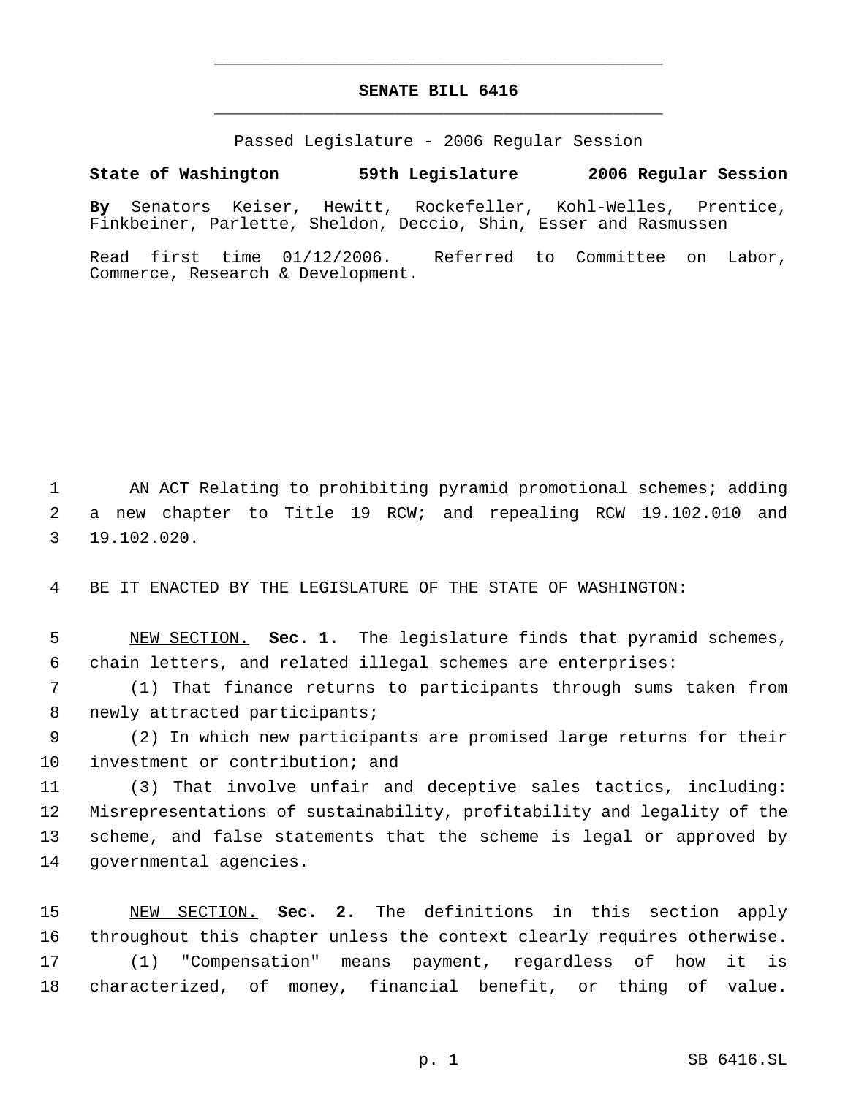## **SENATE BILL 6416** \_\_\_\_\_\_\_\_\_\_\_\_\_\_\_\_\_\_\_\_\_\_\_\_\_\_\_\_\_\_\_\_\_\_\_\_\_\_\_\_\_\_\_\_\_

\_\_\_\_\_\_\_\_\_\_\_\_\_\_\_\_\_\_\_\_\_\_\_\_\_\_\_\_\_\_\_\_\_\_\_\_\_\_\_\_\_\_\_\_\_

Passed Legislature - 2006 Regular Session

## **State of Washington 59th Legislature 2006 Regular Session**

**By** Senators Keiser, Hewitt, Rockefeller, Kohl-Welles, Prentice, Finkbeiner, Parlette, Sheldon, Deccio, Shin, Esser and Rasmussen

Read first time 01/12/2006. Referred to Committee on Labor, Commerce, Research & Development.

 AN ACT Relating to prohibiting pyramid promotional schemes; adding a new chapter to Title 19 RCW; and repealing RCW 19.102.010 and 19.102.020.

BE IT ENACTED BY THE LEGISLATURE OF THE STATE OF WASHINGTON:

 NEW SECTION. **Sec. 1.** The legislature finds that pyramid schemes, chain letters, and related illegal schemes are enterprises:

 (1) That finance returns to participants through sums taken from newly attracted participants;

 (2) In which new participants are promised large returns for their investment or contribution; and

 (3) That involve unfair and deceptive sales tactics, including: Misrepresentations of sustainability, profitability and legality of the scheme, and false statements that the scheme is legal or approved by governmental agencies.

 NEW SECTION. **Sec. 2.** The definitions in this section apply throughout this chapter unless the context clearly requires otherwise. (1) "Compensation" means payment, regardless of how it is characterized, of money, financial benefit, or thing of value.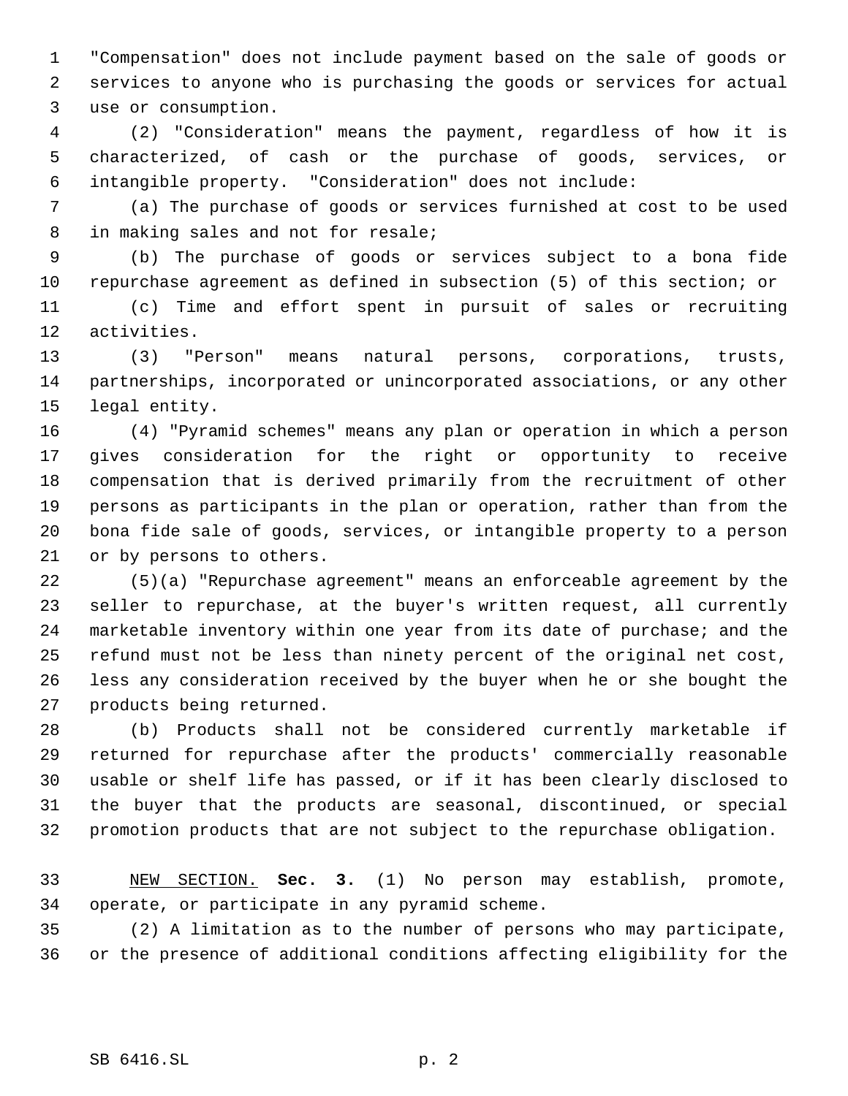"Compensation" does not include payment based on the sale of goods or services to anyone who is purchasing the goods or services for actual use or consumption.

 (2) "Consideration" means the payment, regardless of how it is characterized, of cash or the purchase of goods, services, or intangible property. "Consideration" does not include:

 (a) The purchase of goods or services furnished at cost to be used in making sales and not for resale;

 (b) The purchase of goods or services subject to a bona fide repurchase agreement as defined in subsection (5) of this section; or

 (c) Time and effort spent in pursuit of sales or recruiting activities.

 (3) "Person" means natural persons, corporations, trusts, partnerships, incorporated or unincorporated associations, or any other legal entity.

 (4) "Pyramid schemes" means any plan or operation in which a person gives consideration for the right or opportunity to receive compensation that is derived primarily from the recruitment of other persons as participants in the plan or operation, rather than from the bona fide sale of goods, services, or intangible property to a person or by persons to others.

 (5)(a) "Repurchase agreement" means an enforceable agreement by the seller to repurchase, at the buyer's written request, all currently marketable inventory within one year from its date of purchase; and the refund must not be less than ninety percent of the original net cost, less any consideration received by the buyer when he or she bought the products being returned.

 (b) Products shall not be considered currently marketable if returned for repurchase after the products' commercially reasonable usable or shelf life has passed, or if it has been clearly disclosed to the buyer that the products are seasonal, discontinued, or special promotion products that are not subject to the repurchase obligation.

 NEW SECTION. **Sec. 3.** (1) No person may establish, promote, operate, or participate in any pyramid scheme.

 (2) A limitation as to the number of persons who may participate, or the presence of additional conditions affecting eligibility for the